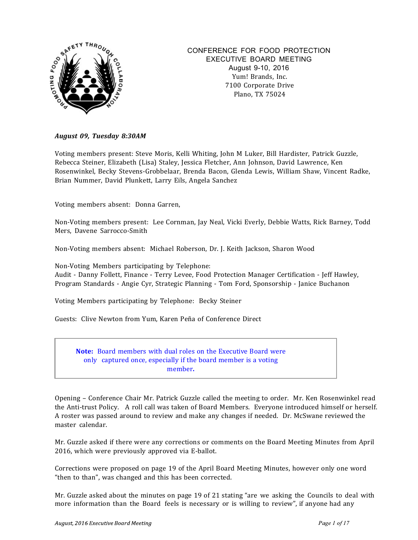

#### CONFERENCE FOR FOOD PROTECTION EXECUTIVE BOARD MEETING August 9-10, 2016 Yum! Brands, Inc. 7100 Corporate Drive Plano, TX 75024

#### *August 09, Tuesday 8:30AM*

Voting members present: Steve Moris, Kelli Whiting, John M Luker, Bill Hardister, Patrick Guzzle, Rebecca Steiner, Elizabeth (Lisa) Staley, Jessica Fletcher, Ann Johnson, David Lawrence, Ken Rosenwinkel, Becky Stevens-Grobbelaar, Brenda Bacon, Glenda Lewis, William Shaw, Vincent Radke, Brian Nummer, David Plunkett, Larry Eils, Angela Sanchez

Voting members absent: Donna Garren,

Non-Voting members present: Lee Cornman, Jay Neal, Vicki Everly, Debbie Watts, Rick Barney, Todd Mers, Davene Sarrocco-Smith

Non-Voting members absent: Michael Roberson, Dr. J. Keith Jackson, Sharon Wood

Non-Voting Members participating by Telephone: Audit - Danny Follett, Finance - Terry Levee, Food Protection Manager Certification - Jeff Hawley, Program Standards - Angie Cyr, Strategic Planning - Tom Ford, Sponsorship - Janice Buchanon

Voting Members participating by Telephone: Becky Steiner

Guests: Clive Newton from Yum, Karen Peña of Conference Direct

**Note:** Board members with dual roles on the Executive Board were only captured once, especially if the board member is a voting member**.**

Opening – Conference Chair Mr. Patrick Guzzle called the meeting to order. Mr. Ken Rosenwinkel read the Anti-trust Policy. A roll call was taken of Board Members. Everyone introduced himself or herself. A roster was passed around to review and make any changes if needed. Dr. McSwane reviewed the master calendar.

Mr. Guzzle asked if there were any corrections or comments on the Board Meeting Minutes from April 2016, which were previously approved via E-ballot. 

Corrections were proposed on page 19 of the April Board Meeting Minutes, however only one word "then to than", was changed and this has been corrected.

Mr. Guzzle asked about the minutes on page 19 of 21 stating "are we asking the Councils to deal with more information than the Board feels is necessary or is willing to review", if anyone had any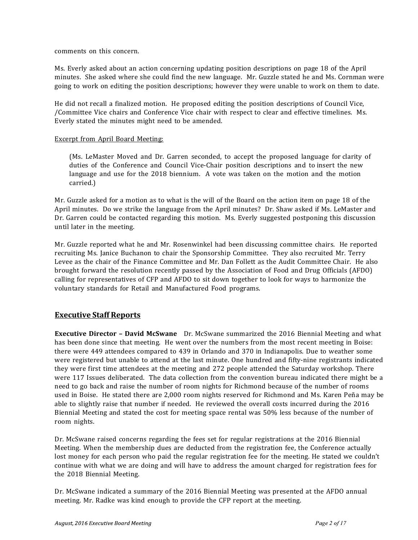comments on this concern.

Ms. Everly asked about an action concerning updating position descriptions on page 18 of the April minutes. She asked where she could find the new language. Mr. Guzzle stated he and Ms. Cornman were going to work on editing the position descriptions; however they were unable to work on them to date.

He did not recall a finalized motion. He proposed editing the position descriptions of Council Vice, /Committee Vice chairs and Conference Vice chair with respect to clear and effective timelines. Ms. Everly stated the minutes might need to be amended.

#### Excerpt from April Board Meeting:

(Ms. LeMaster Moved and Dr. Garren seconded, to accept the proposed language for clarity of duties of the Conference and Council Vice-Chair position descriptions and to insert the new language and use for the 2018 biennium. A vote was taken on the motion and the motion carried.)

Mr. Guzzle asked for a motion as to what is the will of the Board on the action item on page 18 of the April minutes. Do we strike the language from the April minutes? Dr. Shaw asked if Ms. LeMaster and Dr. Garren could be contacted regarding this motion. Ms. Everly suggested postponing this discussion until later in the meeting.

Mr. Guzzle reported what he and Mr. Rosenwinkel had been discussing committee chairs. He reported recruiting Ms. Janice Buchanon to chair the Sponsorship Committee. They also recruited Mr. Terry Levee as the chair of the Finance Committee and Mr. Dan Follett as the Audit Committee Chair. He also brought forward the resolution recently passed by the Association of Food and Drug Officials (AFDO) calling for representatives of CFP and AFDO to sit down together to look for ways to harmonize the voluntary standards for Retail and Manufactured Food programs.

#### **Executive Staff Reports**

**Executive Director – David McSwane** Dr. McSwane summarized the 2016 Biennial Meeting and what has been done since that meeting. He went over the numbers from the most recent meeting in Boise: there were 449 attendees compared to 439 in Orlando and 370 in Indianapolis. Due to weather some were registered but unable to attend at the last minute. One hundred and fifty-nine registrants indicated they were first time attendees at the meeting and 272 people attended the Saturday workshop. There were 117 Issues deliberated. The data collection from the convention bureau indicated there might be a need to go back and raise the number of room nights for Richmond because of the number of rooms used in Boise. He stated there are 2,000 room nights reserved for Richmond and Ms. Karen Peña may be able to slightly raise that number if needed. He reviewed the overall costs incurred during the 2016 Biennial Meeting and stated the cost for meeting space rental was 50% less because of the number of room nights.

Dr. McSwane raised concerns regarding the fees set for regular registrations at the 2016 Biennial Meeting. When the membership dues are deducted from the registration fee, the Conference actually lost money for each person who paid the regular registration fee for the meeting. He stated we couldn't continue with what we are doing and will have to address the amount charged for registration fees for the 2018 Biennial Meeting.

Dr. McSwane indicated a summary of the 2016 Biennial Meeting was presented at the AFDO annual meeting. Mr. Radke was kind enough to provide the CFP report at the meeting.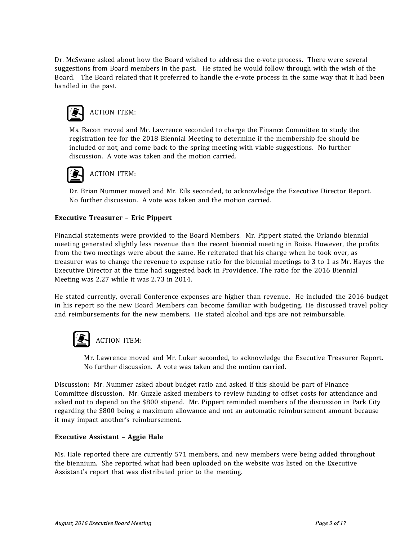Dr. McSwane asked about how the Board wished to address the e-vote process. There were several suggestions from Board members in the past. He stated he would follow through with the wish of the Board. The Board related that it preferred to handle the e-vote process in the same way that it had been handled in the past.



Ms. Bacon moved and Mr. Lawrence seconded to charge the Finance Committee to study the registration fee for the 2018 Biennial Meeting to determine if the membership fee should be included or not, and come back to the spring meeting with viable suggestions. No further discussion. A vote was taken and the motion carried.



Dr. Brian Nummer moved and Mr. Eils seconded, to acknowledge the Executive Director Report. No further discussion. A vote was taken and the motion carried.

#### **Executive Treasurer – Eric Pippert**

Financial statements were provided to the Board Members. Mr. Pippert stated the Orlando biennial meeting generated slightly less revenue than the recent biennial meeting in Boise. However, the profits from the two meetings were about the same. He reiterated that his charge when he took over, as treasurer was to change the revenue to expense ratio for the biennial meetings to 3 to 1 as Mr. Hayes the Executive Director at the time had suggested back in Providence. The ratio for the 2016 Biennial Meeting was 2.27 while it was 2.73 in 2014.

He stated currently, overall Conference expenses are higher than revenue. He included the 2016 budget in his report so the new Board Members can become familiar with budgeting. He discussed travel policy and reimbursements for the new members. He stated alcohol and tips are not reimbursable.



### **ACTION ITEM:**

Mr. Lawrence moved and Mr. Luker seconded, to acknowledge the Executive Treasurer Report. No further discussion. A vote was taken and the motion carried.

Discussion: Mr. Nummer asked about budget ratio and asked if this should be part of Finance Committee discussion. Mr. Guzzle asked members to review funding to offset costs for attendance and asked not to depend on the \$800 stipend. Mr. Pippert reminded members of the discussion in Park City regarding the \$800 being a maximum allowance and not an automatic reimbursement amount because it may impact another's reimbursement.

#### **Executive Assistant – Aggie Hale**

Ms. Hale reported there are currently 571 members, and new members were being added throughout the biennium. She reported what had been uploaded on the website was listed on the Executive Assistant's report that was distributed prior to the meeting.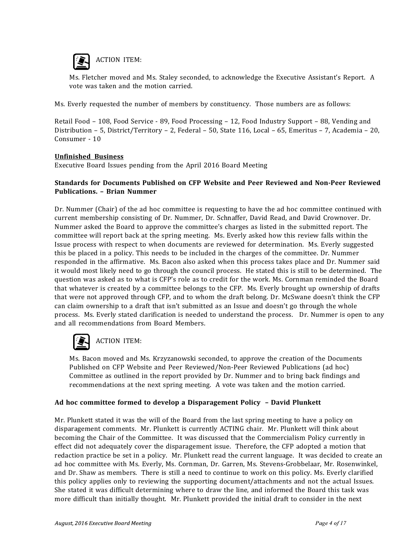

ACTION ITEM:

Ms. Fletcher moved and Ms. Staley seconded, to acknowledge the Executive Assistant's Report. A vote was taken and the motion carried.

Ms. Everly requested the number of members by constituency. Those numbers are as follows: 

Retail Food – 108, Food Service - 89, Food Processing – 12, Food Industry Support – 88, Vending and Distribution – 5, District/Territory – 2, Federal – 50, State 116, Local – 65, Emeritus – 7, Academia – 20, Consumer - 10

#### **Unfinished Business**

Executive Board Issues pending from the April 2016 Board Meeting

#### **Standards for Documents Published on CFP Website and Peer Reviewed and Non-Peer Reviewed Publications. – Brian Nummer**

Dr. Nummer (Chair) of the ad hoc committee is requesting to have the ad hoc committee continued with current membership consisting of Dr. Nummer, Dr. Schnaffer, David Read, and David Crownover. Dr. Nummer asked the Board to approve the committee's charges as listed in the submitted report. The committee will report back at the spring meeting. Ms. Everly asked how this review falls within the Issue process with respect to when documents are reviewed for determination. Ms. Everly suggested this be placed in a policy. This needs to be included in the charges of the committee. Dr. Nummer responded in the affirmative. Ms. Bacon also asked when this process takes place and Dr. Nummer said it would most likely need to go through the council process. He stated this is still to be determined. The question was asked as to what is CFP's role as to credit for the work. Ms. Cornman reminded the Board that whatever is created by a committee belongs to the CFP. Ms. Everly brought up ownership of drafts that were not approved through CFP, and to whom the draft belong. Dr. McSwane doesn't think the CFP can claim ownership to a draft that isn't submitted as an Issue and doesn't go through the whole process. Ms. Everly stated clarification is needed to understand the process. Dr. Nummer is open to any and all recommendations from Board Members.



### ACTION ITEM:

Ms. Bacon moved and Ms. Krzyzanowski seconded, to approve the creation of the Documents Published on CFP Website and Peer Reviewed/Non-Peer Reviewed Publications (ad hoc) Committee as outlined in the report provided by Dr. Nummer and to bring back findings and recommendations at the next spring meeting. A vote was taken and the motion carried.

#### **Ad hoc committee formed to develop a Disparagement Policy – David Plunkett**

Mr. Plunkett stated it was the will of the Board from the last spring meeting to have a policy on disparagement comments. Mr. Plunkett is currently ACTING chair. Mr. Plunkett will think about becoming the Chair of the Committee. It was discussed that the Commercialism Policy currently in effect did not adequately cover the disparagement issue. Therefore, the CFP adopted a motion that redaction practice be set in a policy. Mr. Plunkett read the current language. It was decided to create an ad hoc committee with Ms. Everly, Ms. Cornman, Dr. Garren, Ms. Stevens-Grobbelaar, Mr. Rosenwinkel, and Dr. Shaw as members. There is still a need to continue to work on this policy. Ms. Everly clarified this policy applies only to reviewing the supporting document/attachments and not the actual Issues. She stated it was difficult determining where to draw the line, and informed the Board this task was more difficult than initially thought. Mr. Plunkett provided the initial draft to consider in the next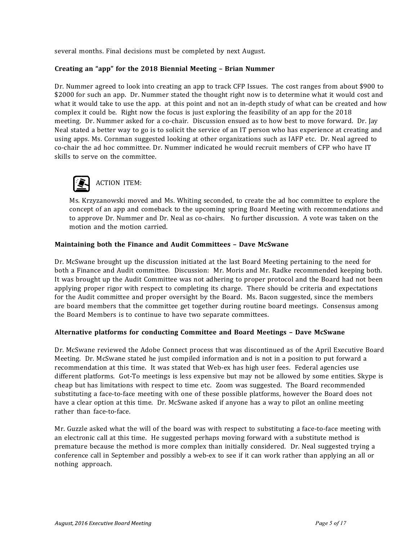several months. Final decisions must be completed by next August.

#### **Creating an "app" for the 2018 Biennial Meeting – Brian Nummer**

Dr. Nummer agreed to look into creating an app to track CFP Issues. The cost ranges from about \$900 to \$2000 for such an app. Dr. Nummer stated the thought right now is to determine what it would cost and what it would take to use the app. at this point and not an in-depth study of what can be created and how complex it could be. Right now the focus is just exploring the feasibility of an app for the 2018 meeting. Dr. Nummer asked for a co-chair. Discussion ensued as to how best to move forward. Dr. Jay Neal stated a better way to go is to solicit the service of an IT person who has experience at creating and using apps. Ms. Cornman suggested looking at other organizations such as IAFP etc. Dr. Neal agreed to co-chair the ad hoc committee. Dr. Nummer indicated he would recruit members of CFP who have IT skills to serve on the committee.



Ms. Krzyzanowski moved and Ms. Whiting seconded, to create the ad hoc committee to explore the concept of an app and comeback to the upcoming spring Board Meeting with recommendations and to approve Dr. Nummer and Dr. Neal as co-chairs. No further discussion. A vote was taken on the motion and the motion carried.

#### **Maintaining both the Finance and Audit Committees – Dave McSwane**

Dr. McSwane brought up the discussion initiated at the last Board Meeting pertaining to the need for both a Finance and Audit committee. Discussion: Mr. Moris and Mr. Radke recommended keeping both. It was brought up the Audit Committee was not adhering to proper protocol and the Board had not been applying proper rigor with respect to completing its charge. There should be criteria and expectations for the Audit committee and proper oversight by the Board. Ms. Bacon suggested, since the members are board members that the committee get together during routine board meetings. Consensus among the Board Members is to continue to have two separate committees.

#### **Alternative platforms for conducting Committee and Board Meetings – Dave McSwane**

Dr. McSwane reviewed the Adobe Connect process that was discontinued as of the April Executive Board Meeting. Dr. McSwane stated he just compiled information and is not in a position to put forward a recommendation at this time. It was stated that Web-ex has high user fees. Federal agencies use different platforms. Got-To meetings is less expensive but may not be allowed by some entities. Skype is cheap but has limitations with respect to time etc. Zoom was suggested. The Board recommended substituting a face-to-face meeting with one of these possible platforms, however the Board does not have a clear option at this time. Dr. McSwane asked if anyone has a way to pilot an online meeting rather than face-to-face.

Mr. Guzzle asked what the will of the board was with respect to substituting a face-to-face meeting with an electronic call at this time. He suggested perhaps moving forward with a substitute method is premature because the method is more complex than initially considered. Dr. Neal suggested trying a conference call in September and possibly a web-ex to see if it can work rather than applying an all or nothing approach.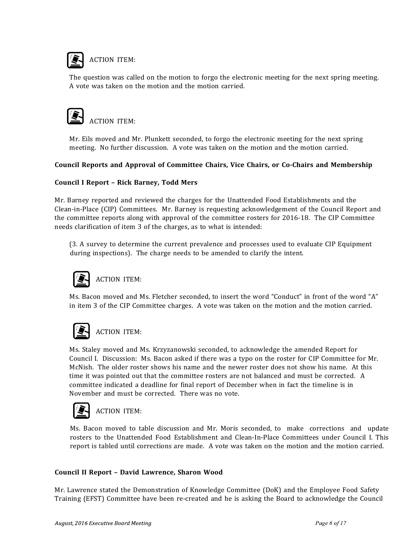

The question was called on the motion to forgo the electronic meeting for the next spring meeting. A vote was taken on the motion and the motion carried.



Mr. Eils moved and Mr. Plunkett seconded, to forgo the electronic meeting for the next spring meeting. No further discussion. A vote was taken on the motion and the motion carried.

#### **Council Reports and Approval of Committee Chairs, Vice Chairs, or Co-Chairs and Membership**

#### **Council I Report – Rick Barney, Todd Mers**

Mr. Barney reported and reviewed the charges for the Unattended Food Establishments and the Clean-in-Place (CIP) Committees. Mr. Barney is requesting acknowledgement of the Council Report and the committee reports along with approval of the committee rosters for 2016-18. The CIP Committee needs clarification of item 3 of the charges, as to what is intended:

(3. A survey to determine the current prevalence and processes used to evaluate CIP Equipment during inspections). The charge needs to be amended to clarify the intent.



### ACTION ITEM:

Ms. Bacon moved and Ms. Fletcher seconded, to insert the word "Conduct" in front of the word "A" in item 3 of the CIP Committee charges. A vote was taken on the motion and the motion carried.



### ACTION ITEM:

Ms. Staley moved and Ms. Krzyzanowski seconded, to acknowledge the amended Report for Council I. Discussion: Ms. Bacon asked if there was a typo on the roster for CIP Committee for Mr. McNish. The older roster shows his name and the newer roster does not show his name. At this time it was pointed out that the committee rosters are not balanced and must be corrected. A committee indicated a deadline for final report of December when in fact the timeline is in November and must be corrected. There was no vote.



### ACTION ITEM:

Ms. Bacon moved to table discussion and Mr. Moris seconded, to make corrections and update rosters to the Unattended Food Establishment and Clean-In-Place Committees under Council I. This report is tabled until corrections are made. A vote was taken on the motion and the motion carried.

#### **Council II Report – David Lawrence, Sharon Wood**

Mr. Lawrence stated the Demonstration of Knowledge Committee (DoK) and the Employee Food Safety Training (EFST) Committee have been re-created and he is asking the Board to acknowledge the Council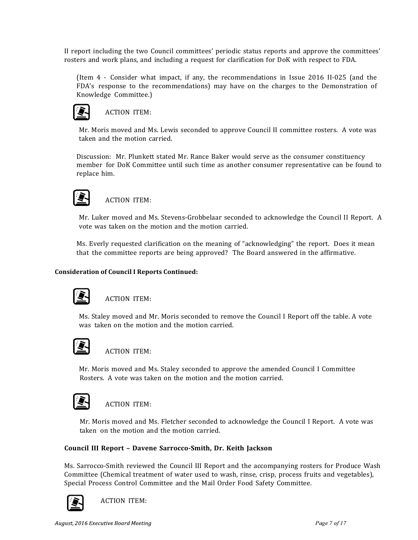II report including the two Council committees' periodic status reports and approve the committees' rosters and work plans, and including a request for clarification for DoK with respect to FDA.

(Item 4 - Consider what impact, if any, the recommendations in Issue 2016 II-025 (and the FDA's response to the recommendations) may have on the charges to the Demonstration of Knowledge Committee.)



#### ACTION ITEM:

Mr. Moris moved and Ms. Lewis seconded to approve Council II committee rosters. A vote was taken and the motion carried.

Discussion: Mr. Plunkett stated Mr. Rance Baker would serve as the consumer constituency member for DoK Committee until such time as another consumer representative can be found to replace him.



### ACTION ITEM:

Mr. Luker moved and Ms. Stevens-Grobbelaar seconded to acknowledge the Council II Report. A vote was taken on the motion and the motion carried.

Ms. Everly requested clarification on the meaning of "acknowledging" the report. Does it mean that the committee reports are being approved? The Board answered in the affirmative.

#### **Consideration of Council I Reports Continued:**



### ACTION ITEM:

Ms. Staley moved and Mr. Moris seconded to remove the Council I Report off the table. A vote was taken on the motion and the motion carried.



#### ACTION ITEM:

Mr. Moris moved and Ms. Staley seconded to approve the amended Council I Committee Rosters. A vote was taken on the motion and the motion carried.



#### ACTION ITEM:

Mr. Moris moved and Ms. Fletcher seconded to acknowledge the Council I Report. A vote was taken on the motion and the motion carried.

#### **Council III Report – Davene Sarrocco-Smith, Dr. Keith Jackson**

Ms. Sarrocco-Smith reviewed the Council III Report and the accompanying rosters for Produce Wash Committee (Chemical treatment of water used to wash, rinse, crisp, process fruits and vegetables), Special Process Control Committee and the Mail Order Food Safety Committee.



ACTION ITEM: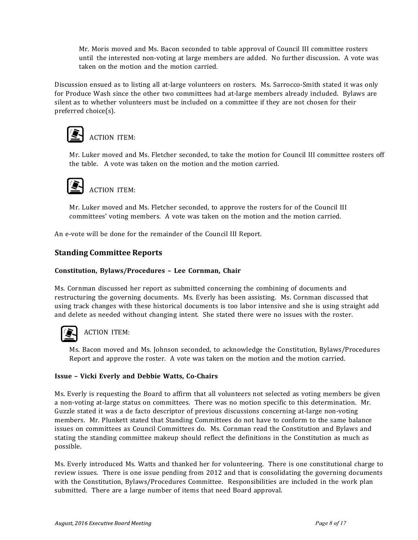Mr. Moris moved and Ms. Bacon seconded to table approval of Council III committee rosters until the interested non-voting at large members are added. No further discussion. A vote was taken on the motion and the motion carried.

Discussion ensued as to listing all at-large volunteers on rosters. Ms. Sarrocco-Smith stated it was only for Produce Wash since the other two committees had at-large members already included. Bylaws are silent as to whether volunteers must be included on a committee if they are not chosen for their preferred choice(s).



## ACTION ITEM:

Mr. Luker moved and Ms. Fletcher seconded, to take the motion for Council III committee rosters off the table. A vote was taken on the motion and the motion carried.



Mr. Luker moved and Ms. Fletcher seconded, to approve the rosters for of the Council III committees' voting members. A vote was taken on the motion and the motion carried.

An e-vote will be done for the remainder of the Council III Report.

#### **Standing Committee Reports**

#### **Constitution, Bylaws/Procedures – Lee Cornman, Chair**

Ms. Cornman discussed her report as submitted concerning the combining of documents and restructuring the governing documents. Ms. Everly has been assisting. Ms. Cornman discussed that using track changes with these historical documents is too labor intensive and she is using straight add and delete as needed without changing intent. She stated there were no issues with the roster.



### ACTION ITEM:

Ms. Bacon moved and Ms. Johnson seconded, to acknowledge the Constitution, Bylaws/Procedures Report and approve the roster. A vote was taken on the motion and the motion carried.

#### **Issue – Vicki Everly and Debbie Watts, Co-Chairs**

Ms. Everly is requesting the Board to affirm that all volunteers not selected as voting members be given a non-voting at-large status on committees. There was no motion specific to this determination. Mr. Guzzle stated it was a de facto descriptor of previous discussions concerning at-large non-voting members. Mr. Plunkett stated that Standing Committees do not have to conform to the same balance issues on committees as Council Committees do. Ms. Cornman read the Constitution and Bylaws and stating the standing committee makeup should reflect the definitions in the Constitution as much as possible.

Ms. Everly introduced Ms. Watts and thanked her for volunteering. There is one constitutional charge to review issues. There is one issue pending from 2012 and that is consolidating the governing documents with the Constitution, Bylaws/Procedures Committee. Responsibilities are included in the work plan submitted. There are a large number of items that need Board approval.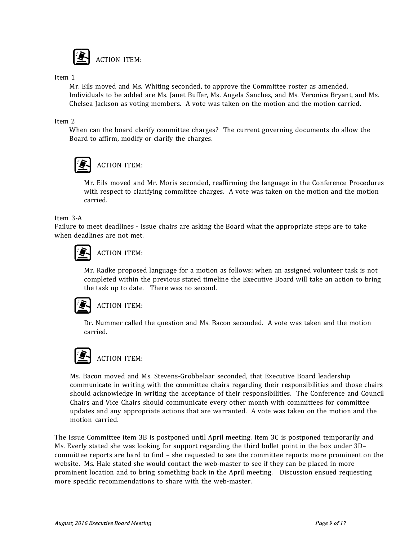

Item 1

Mr. Eils moved and Ms. Whiting seconded, to approve the Committee roster as amended. Individuals to be added are Ms. Janet Buffer, Ms. Angela Sanchez, and Ms. Veronica Bryant, and Ms. Chelsea Jackson as voting members. A vote was taken on the motion and the motion carried.

#### Item 2

When can the board clarify committee charges? The current governing documents do allow the Board to affirm, modify or clarify the charges.



### ACTION ITEM:

Mr. Eils moved and Mr. Moris seconded, reaffirming the language in the Conference Procedures with respect to clarifying committee charges. A vote was taken on the motion and the motion carried.

Item 3-A

Failure to meet deadlines - Issue chairs are asking the Board what the appropriate steps are to take when deadlines are not met.



### ACTION ITEM:

Mr. Radke proposed language for a motion as follows: when an assigned volunteer task is not completed within the previous stated timeline the Executive Board will take an action to bring the task up to date. There was no second.



#### ACTION ITEM:

Dr. Nummer called the question and Ms. Bacon seconded. A vote was taken and the motion carried.



### ACTION ITEM:

Ms. Bacon moved and Ms. Stevens-Grobbelaar seconded, that Executive Board leadership communicate in writing with the committee chairs regarding their responsibilities and those chairs should acknowledge in writing the acceptance of their responsibilities. The Conference and Council Chairs and Vice Chairs should communicate every other month with committees for committee updates and any appropriate actions that are warranted. A vote was taken on the motion and the motion carried.

The Issue Committee item 3B is postponed until April meeting. Item 3C is postponed temporarily and Ms. Everly stated she was looking for support regarding the third bullet point in the box under 3D– committee reports are hard to find – she requested to see the committee reports more prominent on the website. Ms. Hale stated she would contact the web-master to see if they can be placed in more prominent location and to bring something back in the April meeting. Discussion ensued requesting more specific recommendations to share with the web-master.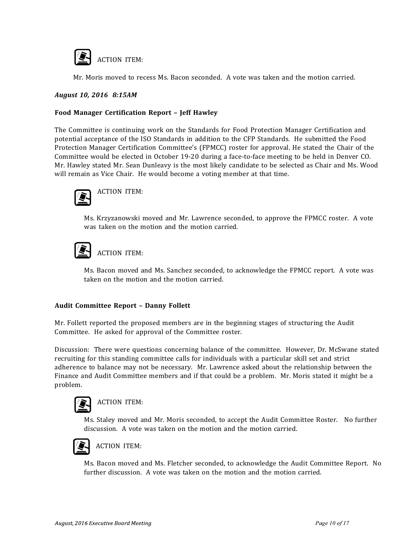

Mr. Moris moved to recess Ms. Bacon seconded. A vote was taken and the motion carried.

#### *August 10, 2016 8:15AM*

#### **Food Manager Certification Report – Jeff Hawley**

The Committee is continuing work on the Standards for Food Protection Manager Certification and potential acceptance of the ISO Standards in addition to the CFP Standards. He submitted the Food Protection Manager Certification Committee's (FPMCC) roster for approval. He stated the Chair of the Committee would be elected in October 19-20 during a face-to-face meeting to be held in Denver CO. Mr. Hawley stated Mr. Sean Dunleavy is the most likely candidate to be selected as Chair and Ms. Wood will remain as Vice Chair. He would become a voting member at that time.



ACTION ITEM:

Ms. Krzyzanowski moved and Mr. Lawrence seconded, to approve the FPMCC roster. A vote was taken on the motion and the motion carried.

# ACTION ITEM:

Ms. Bacon moved and Ms. Sanchez seconded, to acknowledge the FPMCC report. A vote was taken on the motion and the motion carried.

#### **Audit Committee Report – Danny Follett**

Mr. Follett reported the proposed members are in the beginning stages of structuring the Audit Committee. He asked for approval of the Committee roster.

Discussion: There were questions concerning balance of the committee. However, Dr. McSwane stated recruiting for this standing committee calls for individuals with a particular skill set and strict adherence to balance may not be necessary. Mr. Lawrence asked about the relationship between the Finance and Audit Committee members and if that could be a problem. Mr. Moris stated it might be a problem.



### ACTION ITEM:

Ms. Staley moved and Mr. Moris seconded, to accept the Audit Committee Roster. No further discussion. A vote was taken on the motion and the motion carried.



### ACTION ITEM:

Ms. Bacon moved and Ms. Fletcher seconded, to acknowledge the Audit Committee Report. No further discussion. A vote was taken on the motion and the motion carried.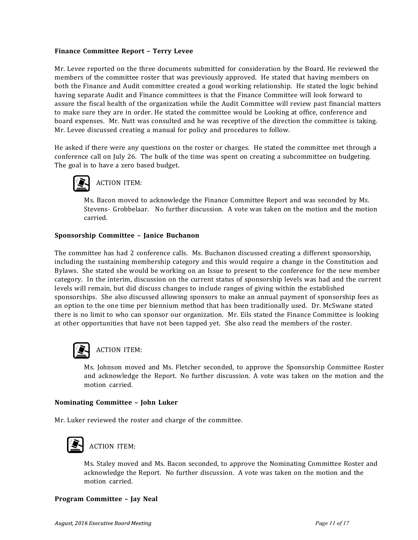#### **Finance Committee Report – Terry Levee**

Mr. Levee reported on the three documents submitted for consideration by the Board. He reviewed the members of the committee roster that was previously approved. He stated that having members on both the Finance and Audit committee created a good working relationship. He stated the logic behind having separate Audit and Finance committees is that the Finance Committee will look forward to assure the fiscal health of the organization while the Audit Committee will review past financial matters to make sure they are in order. He stated the committee would be Looking at office, conference and board expenses. Mr. Nutt was consulted and he was receptive of the direction the committee is taking. Mr. Levee discussed creating a manual for policy and procedures to follow.

He asked if there were any questions on the roster or charges. He stated the committee met through a conference call on July 26. The bulk of the time was spent on creating a subcommittee on budgeting. The goal is to have a zero based budget.



ACTION ITEM:

Ms. Bacon moved to acknowledge the Finance Committee Report and was seconded by Ms. Stevens- Grobbelaar. No further discussion. A vote was taken on the motion and the motion carried.

#### **Sponsorship Committee – Janice Buchanon**

The committee has had 2 conference calls. Ms. Buchanon discussed creating a different sponsorship, including the sustaining membership category and this would require a change in the Constitution and Bylaws. She stated she would be working on an Issue to present to the conference for the new member category. In the interim, discussion on the current status of sponsorship levels was had and the current levels will remain, but did discuss changes to include ranges of giving within the established sponsorships. She also discussed allowing sponsors to make an annual payment of sponsorship fees as an option to the one time per biennium method that has been traditionally used. Dr. McSwane stated there is no limit to who can sponsor our organization. Mr. Eils stated the Finance Committee is looking at other opportunities that have not been tapped yet. She also read the members of the roster.



### ACTION ITEM:

Ms. Johnson moved and Ms. Fletcher seconded, to approve the Sponsorship Committee Roster and acknowledge the Report. No further discussion. A vote was taken on the motion and the motion carried.

#### **Nominating Committee – John Luker**

Mr. Luker reviewed the roster and charge of the committee.



Ms. Staley moved and Ms. Bacon seconded, to approve the Nominating Committee Roster and acknowledge the Report. No further discussion. A vote was taken on the motion and the motion carried.

#### **Program Committee – Jay Neal**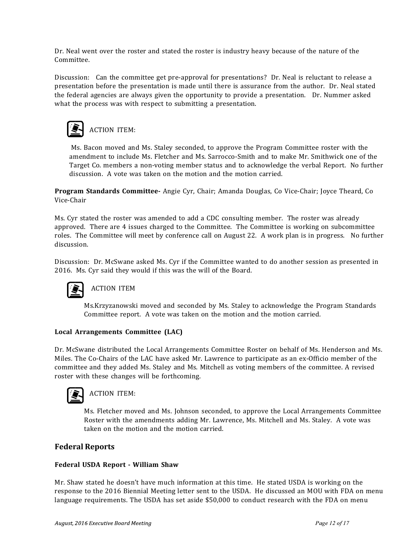Dr. Neal went over the roster and stated the roster is industry heavy because of the nature of the Committee.

Discussion: Can the committee get pre-approval for presentations? Dr. Neal is reluctant to release a presentation before the presentation is made until there is assurance from the author. Dr. Neal stated the federal agencies are always given the opportunity to provide a presentation. Dr. Nummer asked what the process was with respect to submitting a presentation.



Ms. Bacon moved and Ms. Staley seconded, to approve the Program Committee roster with the amendment to include Ms. Fletcher and Ms. Sarrocco-Smith and to make Mr. Smithwick one of the Target Co. members a non-voting member status and to acknowledge the verbal Report. No further discussion. A vote was taken on the motion and the motion carried.

**Program Standards Committee-** Angie Cyr, Chair; Amanda Douglas, Co Vice-Chair; Joyce Theard, Co Vice-Chair

Ms. Cyr stated the roster was amended to add a CDC consulting member. The roster was already approved. There are 4 issues charged to the Committee. The Committee is working on subcommittee roles. The Committee will meet by conference call on August 22. A work plan is in progress. No further discussion.

Discussion: Dr. McSwane asked Ms. Cyr if the Committee wanted to do another session as presented in 2016. Ms. Cyr said they would if this was the will of the Board.



### ACTION ITEM

Ms.Krzyzanowski moved and seconded by Ms. Staley to acknowledge the Program Standards Committee report. A vote was taken on the motion and the motion carried.

#### **Local Arrangements Committee (LAC)**

Dr. McSwane distributed the Local Arrangements Committee Roster on behalf of Ms. Henderson and Ms. Miles. The Co-Chairs of the LAC have asked Mr. Lawrence to participate as an ex-Officio member of the committee and they added Ms. Staley and Ms. Mitchell as voting members of the committee. A revised roster with these changes will be forthcoming.



### ACTION ITEM:

Ms. Fletcher moved and Ms. Johnson seconded, to approve the Local Arrangements Committee Roster with the amendments adding Mr. Lawrence, Ms. Mitchell and Ms. Staley. A vote was taken on the motion and the motion carried.

#### **Federal Reports**

#### **Federal USDA Report - William Shaw**

Mr. Shaw stated he doesn't have much information at this time. He stated USDA is working on the response to the 2016 Biennial Meeting letter sent to the USDA. He discussed an MOU with FDA on menu language requirements. The USDA has set aside \$50,000 to conduct research with the FDA on menu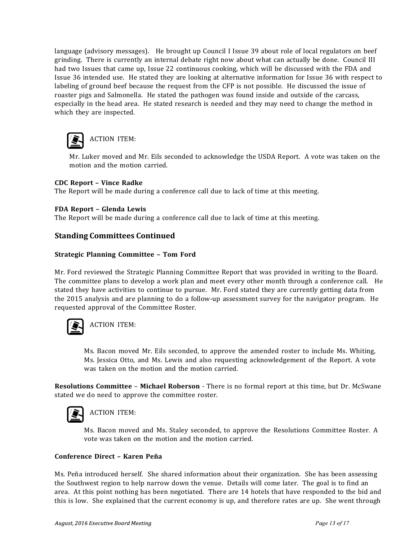language (advisory messages). He brought up Council I Issue 39 about role of local regulators on beef grinding. There is currently an internal debate right now about what can actually be done. Council III had two Issues that came up, Issue 22 continuous cooking, which will be discussed with the FDA and Issue 36 intended use. He stated they are looking at alternative information for Issue 36 with respect to labeling of ground beef because the request from the CFP is not possible. He discussed the issue of roaster pigs and Salmonella. He stated the pathogen was found inside and outside of the carcass, especially in the head area. He stated research is needed and they may need to change the method in which they are inspected.



ACTION ITEM:

Mr. Luker moved and Mr. Eils seconded to acknowledge the USDA Report. A vote was taken on the motion and the motion carried.

#### **CDC Report – Vince Radke**

The Report will be made during a conference call due to lack of time at this meeting.

#### **FDA Report – Glenda Lewis**

The Report will be made during a conference call due to lack of time at this meeting.

#### **Standing Committees Continued**

#### **Strategic Planning Committee – Tom Ford**

Mr. Ford reviewed the Strategic Planning Committee Report that was provided in writing to the Board. The committee plans to develop a work plan and meet every other month through a conference call. He stated they have activities to continue to pursue. Mr. Ford stated they are currently getting data from the 2015 analysis and are planning to do a follow-up assessment survey for the navigator program. He requested approval of the Committee Roster.



ACTION ITEM:

Ms. Bacon moved Mr. Eils seconded, to approve the amended roster to include Ms. Whiting, Ms. Jessica Otto, and Ms. Lewis and also requesting acknowledgement of the Report. A vote was taken on the motion and the motion carried.

**Resolutions Committee** – **Michael Roberson** - There is no formal report at this time, but Dr. McSwane stated we do need to approve the committee roster.



### ACTION ITEM:

Ms. Bacon moved and Ms. Staley seconded, to approve the Resolutions Committee Roster. A vote was taken on the motion and the motion carried.

#### **Conference Direct – Karen Peña**

Ms. Peña introduced herself. She shared information about their organization. She has been assessing the Southwest region to help narrow down the venue. Details will come later. The goal is to find an area. At this point nothing has been negotiated. There are 14 hotels that have responded to the bid and this is low. She explained that the current economy is up, and therefore rates are up. She went through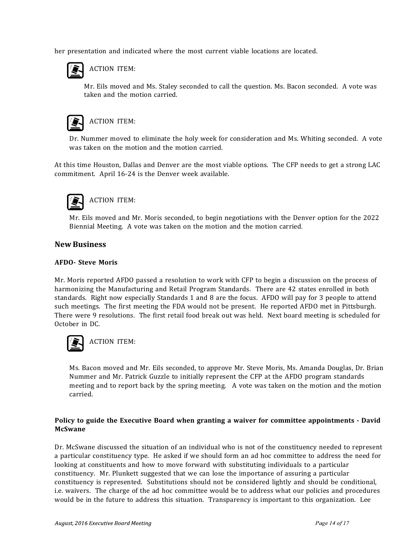her presentation and indicated where the most current viable locations are located.



ACTION ITEM:

Mr. Eils moved and Ms. Staley seconded to call the question. Ms. Bacon seconded. A vote was taken and the motion carried.



ACTION ITEM:

Dr. Nummer moved to eliminate the holy week for consideration and Ms. Whiting seconded. A vote was taken on the motion and the motion carried.

At this time Houston, Dallas and Denver are the most viable options. The CFP needs to get a strong LAC commitment. April 16-24 is the Denver week available.



Mr. Eils moved and Mr. Moris seconded, to begin negotiations with the Denver option for the 2022 Biennial Meeting. A vote was taken on the motion and the motion carried.

#### **New Business**

#### **AFDO- Steve Moris**

Mr. Moris reported AFDO passed a resolution to work with CFP to begin a discussion on the process of harmonizing the Manufacturing and Retail Program Standards. There are 42 states enrolled in both standards. Right now especially Standards 1 and 8 are the focus. AFDO will pay for 3 people to attend such meetings. The first meeting the FDA would not be present. He reported AFDO met in Pittsburgh. There were 9 resolutions. The first retail food break out was held. Next board meeting is scheduled for October in DC.



Ms. Bacon moved and Mr. Eils seconded, to approve Mr. Steve Moris, Ms. Amanda Douglas, Dr. Brian Nummer and Mr. Patrick Guzzle to initially represent the CFP at the AFDO program standards meeting and to report back by the spring meeting. A vote was taken on the motion and the motion carried.

#### **Policy to guide the Executive Board when granting a waiver for committee appointments - David McSwane**

Dr. McSwane discussed the situation of an individual who is not of the constituency needed to represent a particular constituency type. He asked if we should form an ad hoc committee to address the need for looking at constituents and how to move forward with substituting individuals to a particular constituency. Mr. Plunkett suggested that we can lose the importance of assuring a particular constituency is represented. Substitutions should not be considered lightly and should be conditional, i.e. waivers. The charge of the ad hoc committee would be to address what our policies and procedures would be in the future to address this situation. Transparency is important to this organization. Lee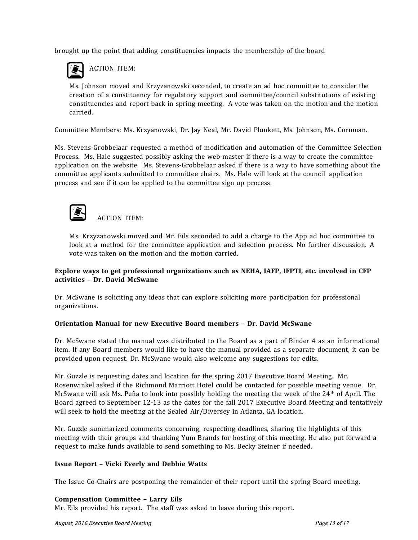brought up the point that adding constituencies impacts the membership of the board



ACTION ITEM:

Ms. Johnson moved and Krzyzanowski seconded, to create an ad hoc committee to consider the creation of a constituency for regulatory support and committee/council substitutions of existing constituencies and report back in spring meeting. A vote was taken on the motion and the motion carried.

Committee Members: Ms. Krzyanowski, Dr. Jay Neal, Mr. David Plunkett, Ms. Johnson, Ms. Cornman.

Ms. Stevens-Grobbelaar requested a method of modification and automation of the Committee Selection Process. Ms. Hale suggested possibly asking the web-master if there is a way to create the committee application on the website. Ms. Stevens-Grobbelaar asked if there is a way to have something about the committee applicants submitted to committee chairs. Ms. Hale will look at the council application process and see if it can be applied to the committee sign up process.



ACTION ITEM:

Ms. Krzyzanowski moved and Mr. Eils seconded to add a charge to the App ad hoc committee to look at a method for the committee application and selection process. No further discussion. A vote was taken on the motion and the motion carried.

#### **Explore ways to get professional organizations such as NEHA, IAFP, IFPTI, etc. involved in CFP activities – Dr. David McSwane**

Dr. McSwane is soliciting any ideas that can explore soliciting more participation for professional organizations.

#### **Orientation Manual for new Executive Board members – Dr. David McSwane**

Dr. McSwane stated the manual was distributed to the Board as a part of Binder 4 as an informational item. If any Board members would like to have the manual provided as a separate document, it can be provided upon request. Dr. McSwane would also welcome any suggestions for edits.

Mr. Guzzle is requesting dates and location for the spring 2017 Executive Board Meeting. Mr. Rosenwinkel asked if the Richmond Marriott Hotel could be contacted for possible meeting venue. Dr. McSwane will ask Ms. Peña to look into possibly holding the meeting the week of the 24th of April. The Board agreed to September 12-13 as the dates for the fall 2017 Executive Board Meeting and tentatively will seek to hold the meeting at the Sealed Air/Diversey in Atlanta, GA location.

Mr. Guzzle summarized comments concerning, respecting deadlines, sharing the highlights of this meeting with their groups and thanking Yum Brands for hosting of this meeting. He also put forward a request to make funds available to send something to Ms. Becky Steiner if needed.

#### **Issue Report – Vicki Everly and Debbie Watts**

The Issue Co-Chairs are postponing the remainder of their report until the spring Board meeting.

#### **Compensation Committee – Larry Eils**

Mr. Eils provided his report. The staff was asked to leave during this report.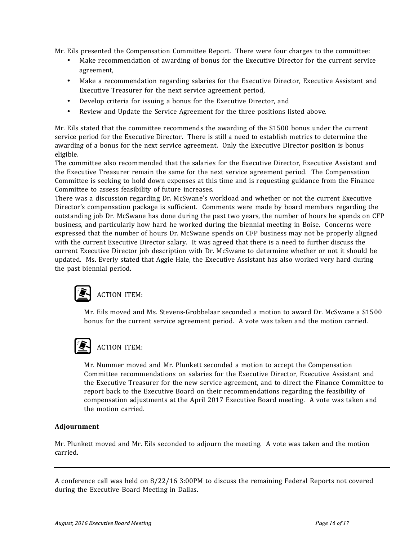Mr. Eils presented the Compensation Committee Report. There were four charges to the committee:

- Make recommendation of awarding of bonus for the Executive Director for the current service agreement,
- Make a recommendation regarding salaries for the Executive Director, Executive Assistant and Executive Treasurer for the next service agreement period,
- Develop criteria for issuing a bonus for the Executive Director, and
- Review and Update the Service Agreement for the three positions listed above.

Mr. Eils stated that the committee recommends the awarding of the \$1500 bonus under the current service period for the Executive Director. There is still a need to establish metrics to determine the awarding of a bonus for the next service agreement. Only the Executive Director position is bonus eligible.

The committee also recommended that the salaries for the Executive Director, Executive Assistant and the Executive Treasurer remain the same for the next service agreement period. The Compensation Committee is seeking to hold down expenses at this time and is requesting guidance from the Finance Committee to assess feasibility of future increases.

There was a discussion regarding Dr. McSwane's workload and whether or not the current Executive Director's compensation package is sufficient. Comments were made by board members regarding the outstanding job Dr. McSwane has done during the past two years, the number of hours he spends on CFP business, and particularly how hard he worked during the biennial meeting in Boise. Concerns were expressed that the number of hours Dr. McSwane spends on CFP business may not be properly aligned with the current Executive Director salary. It was agreed that there is a need to further discuss the current Executive Director job description with Dr. McSwane to determine whether or not it should be updated. Ms. Everly stated that Aggie Hale, the Executive Assistant has also worked very hard during the past biennial period.

# ACTION ITEM:

Mr. Eils moved and Ms. Stevens-Grobbelaar seconded a motion to award Dr. McSwane a \$1500 bonus for the current service agreement period. A vote was taken and the motion carried.

## ACTION ITEM:

Mr. Nummer moved and Mr. Plunkett seconded a motion to accept the Compensation Committee recommendations on salaries for the Executive Director, Executive Assistant and the Executive Treasurer for the new service agreement, and to direct the Finance Committee to report back to the Executive Board on their recommendations regarding the feasibility of compensation adjustments at the April 2017 Executive Board meeting. A vote was taken and the motion carried.

#### **Adjournment**

Mr. Plunkett moved and Mr. Eils seconded to adjourn the meeting. A vote was taken and the motion carried.

A conference call was held on 8/22/16 3:00PM to discuss the remaining Federal Reports not covered during the Executive Board Meeting in Dallas.